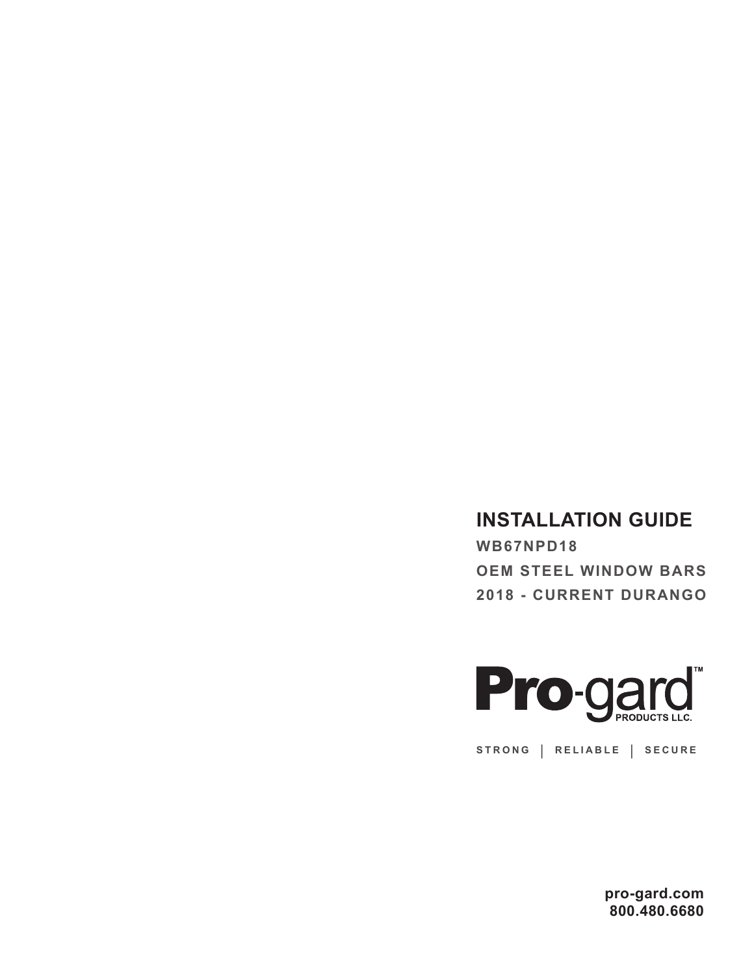# **INSTALLATION GUIDE**

**WB67NPD18 OEM STEEL WINDOW BARS 2018 - CURRENT DURANGO**



**STRONG | RELIABLE | SECURE**

**pro-gard.com 800.480.6680**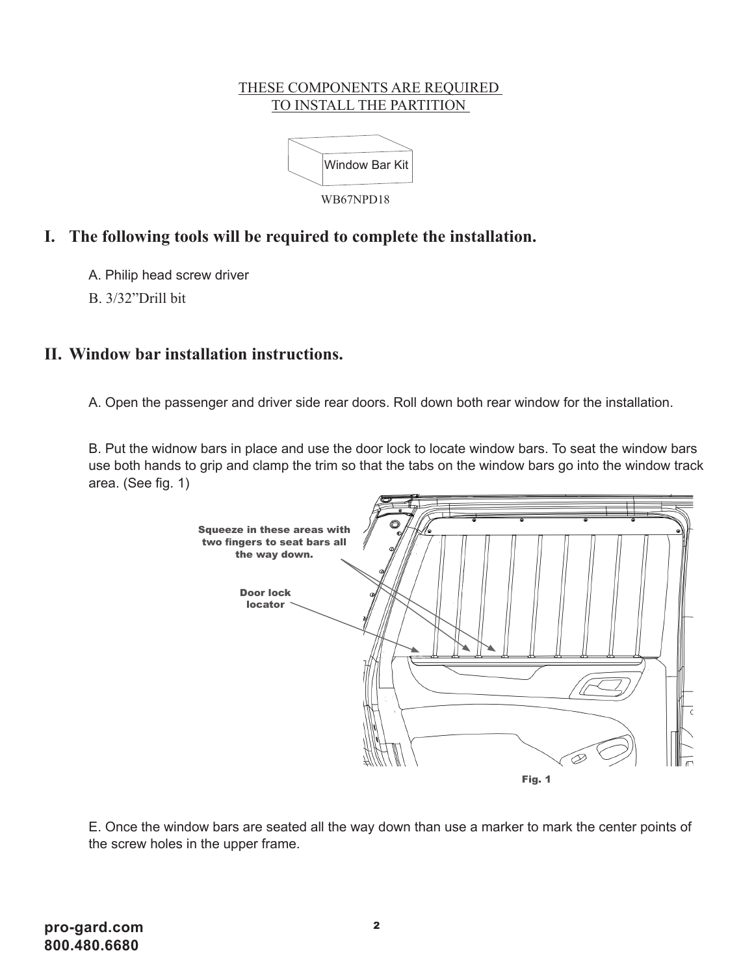#### THESE COMPONENTS ARE REQUIRED TO INSTALL THE PARTITION



## **I. The following tools will be required to complete the installation.**

A. Philip head screw driver

B. 3/32"Drill bit

#### **II. Window bar installation instructions.**

A. Open the passenger and driver side rear doors. Roll down both rear window for the installation.

B. Put the widnow bars in place and use the door lock to locate window bars. To seat the window bars use both hands to grip and clamp the trim so that the tabs on the window bars go into the window track area. (See fig. 1)



E. Once the window bars are seated all the way down than use a marker to mark the center points of the screw holes in the upper frame.